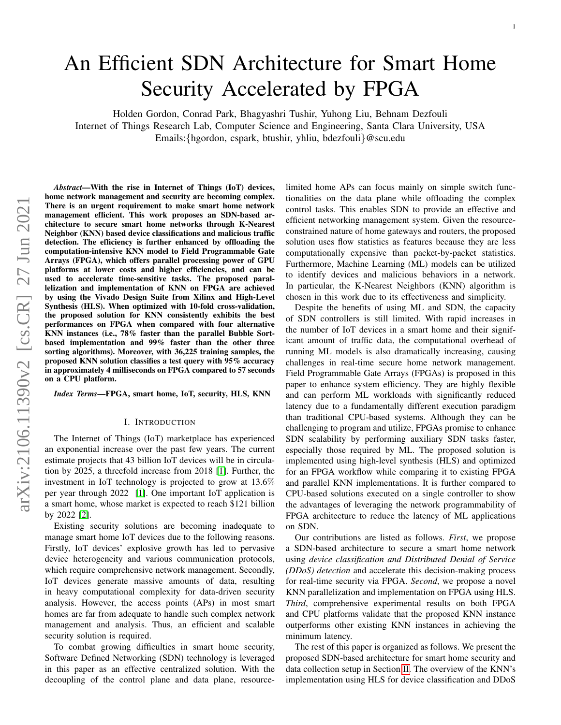# An Efficient SDN Architecture for Smart Home Security Accelerated by FPGA

Holden Gordon, Conrad Park, Bhagyashri Tushir, Yuhong Liu, Behnam Dezfouli Internet of Things Research Lab, Computer Science and Engineering, Santa Clara University, USA Emails:{hgordon, cspark, btushir, yhliu, bdezfouli}@scu.edu

*Abstract*—With the rise in Internet of Things (IoT) devices, home network management and security are becoming complex. There is an urgent requirement to make smart home network management efficient. This work proposes an SDN-based architecture to secure smart home networks through K-Nearest Neighbor (KNN) based device classifications and malicious traffic detection. The efficiency is further enhanced by offloading the computation-intensive KNN model to Field Programmable Gate Arrays (FPGA), which offers parallel processing power of GPU platforms at lower costs and higher efficiencies, and can be used to accelerate time-sensitive tasks. The proposed parallelization and implementation of KNN on FPGA are achieved by using the Vivado Design Suite from Xilinx and High-Level Synthesis (HLS). When optimized with 10-fold cross-validation, the proposed solution for KNN consistently exhibits the best performances on FPGA when compared with four alternative KNN instances (i.e., 78% faster than the parallel Bubble Sortbased implementation and 99% faster than the other three sorting algorithms). Moreover, with 36,225 training samples, the proposed KNN solution classifies a test query with 95% accuracy in approximately 4 milliseconds on FPGA compared to 57 seconds on a CPU platform.

*Index Terms*—FPGA, smart home, IoT, security, HLS, KNN

#### I. INTRODUCTION

The Internet of Things (IoT) marketplace has experienced an exponential increase over the past few years. The current estimate projects that 43 billion IoT devices will be in circulation by 2025, a threefold increase from 2018 [\[1\]](#page-5-0). Further, the investment in IoT technology is projected to grow at 13.6% per year through 2022 [\[1\]](#page-5-0). One important IoT application is a smart home, whose market is expected to reach \$121 billion by 2022 [\[2\]](#page-5-1).

Existing security solutions are becoming inadequate to manage smart home IoT devices due to the following reasons. Firstly, IoT devices' explosive growth has led to pervasive device heterogeneity and various communication protocols, which require comprehensive network management. Secondly, IoT devices generate massive amounts of data, resulting in heavy computational complexity for data-driven security analysis. However, the access points (APs) in most smart homes are far from adequate to handle such complex network management and analysis. Thus, an efficient and scalable security solution is required.

To combat growing difficulties in smart home security, Software Defined Networking (SDN) technology is leveraged in this paper as an effective centralized solution. With the decoupling of the control plane and data plane, resourcelimited home APs can focus mainly on simple switch functionalities on the data plane while offloading the complex control tasks. This enables SDN to provide an effective and efficient networking management system. Given the resourceconstrained nature of home gateways and routers, the proposed solution uses flow statistics as features because they are less computationally expensive than packet-by-packet statistics. Furthermore, Machine Learning (ML) models can be utilized to identify devices and malicious behaviors in a network. In particular, the K-Nearest Neighbors (KNN) algorithm is chosen in this work due to its effectiveness and simplicity.

Despite the benefits of using ML and SDN, the capacity of SDN controllers is still limited. With rapid increases in the number of IoT devices in a smart home and their significant amount of traffic data, the computational overhead of running ML models is also dramatically increasing, causing challenges in real-time secure home network management. Field Programmable Gate Arrays (FPGAs) is proposed in this paper to enhance system efficiency. They are highly flexible and can perform ML workloads with significantly reduced latency due to a fundamentally different execution paradigm than traditional CPU-based systems. Although they can be challenging to program and utilize, FPGAs promise to enhance SDN scalability by performing auxiliary SDN tasks faster, especially those required by ML. The proposed solution is implemented using high-level synthesis (HLS) and optimized for an FPGA workflow while comparing it to existing FPGA and parallel KNN implementations. It is further compared to CPU-based solutions executed on a single controller to show the advantages of leveraging the network programmability of FPGA architecture to reduce the latency of ML applications on SDN.

Our contributions are listed as follows. *First*, we propose a SDN-based architecture to secure a smart home network using *device classification and Distributed Denial of Service (DDoS) detection* and accelerate this decision-making process for real-time security via FPGA. *Second*, we propose a novel KNN parallelization and implementation on FPGA using HLS. *Third*, comprehensive experimental results on both FPGA and CPU platforms validate that the proposed KNN instance outperforms other existing KNN instances in achieving the minimum latency.

The rest of this paper is organized as follows. We present the proposed SDN-based architecture for smart home security and data collection setup in Section [II.](#page-1-0) The overview of the KNN's implementation using HLS for device classification and DDoS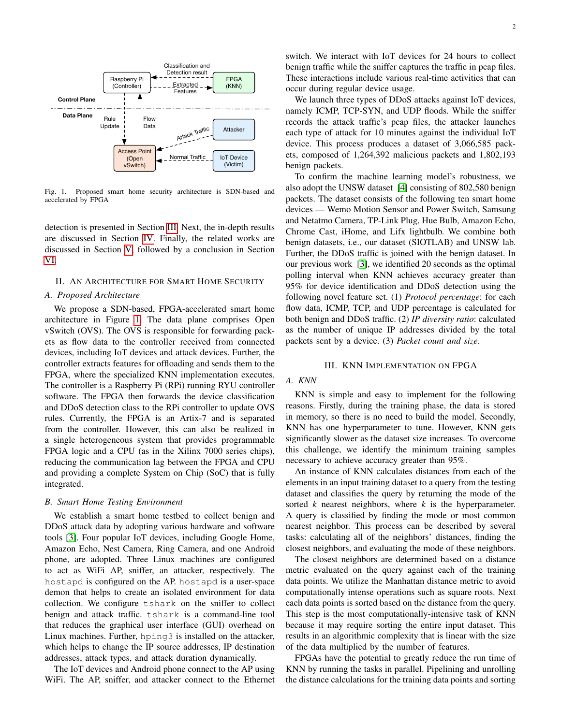

<span id="page-1-2"></span>Fig. 1. Proposed smart home security architecture is SDN-based and accelerated by FPGA

detection is presented in Section [III.](#page-1-1) Next, the in-depth results are discussed in Section [IV.](#page-3-0) Finally, the related works are discussed in Section [V,](#page-4-0) followed by a conclusion in Section [VI.](#page-5-2)

#### <span id="page-1-0"></span>II. AN ARCHITECTURE FOR SMART HOME SECURITY

#### *A. Proposed Architecture*

We propose a SDN-based, FPGA-accelerated smart home architecture in Figure [1.](#page-1-2) The data plane comprises Open vSwitch (OVS). The OVS is responsible for forwarding packets as flow data to the controller received from connected devices, including IoT devices and attack devices. Further, the controller extracts features for offloading and sends them to the FPGA, where the specialized KNN implementation executes. The controller is a Raspberry Pi (RPi) running RYU controller software. The FPGA then forwards the device classification and DDoS detection class to the RPi controller to update OVS rules. Currently, the FPGA is an Artix-7 and is separated from the controller. However, this can also be realized in a single heterogeneous system that provides programmable FPGA logic and a CPU (as in the Xilinx 7000 series chips), reducing the communication lag between the FPGA and CPU and providing a complete System on Chip (SoC) that is fully integrated.

#### *B. Smart Home Testing Environment*

We establish a smart home testbed to collect benign and DDoS attack data by adopting various hardware and software tools [\[3\]](#page-5-3). Four popular IoT devices, including Google Home, Amazon Echo, Nest Camera, Ring Camera, and one Android phone, are adopted. Three Linux machines are configured to act as WiFi AP, sniffer, an attacker, respectively. The hostapd is configured on the AP. hostapd is a user-space demon that helps to create an isolated environment for data collection. We configure tshark on the sniffer to collect benign and attack traffic. tshark is a command-line tool that reduces the graphical user interface (GUI) overhead on Linux machines. Further, hping3 is installed on the attacker, which helps to change the IP source addresses, IP destination addresses, attack types, and attack duration dynamically.

The IoT devices and Android phone connect to the AP using WiFi. The AP, sniffer, and attacker connect to the Ethernet switch. We interact with IoT devices for 24 hours to collect benign traffic while the sniffer captures the traffic in pcap files. These interactions include various real-time activities that can occur during regular device usage.

We launch three types of DDoS attacks against IoT devices, namely ICMP, TCP-SYN, and UDP floods. While the sniffer records the attack traffic's pcap files, the attacker launches each type of attack for 10 minutes against the individual IoT device. This process produces a dataset of 3,066,585 packets, composed of 1,264,392 malicious packets and 1,802,193 benign packets.

To confirm the machine learning model's robustness, we also adopt the UNSW dataset [\[4\]](#page-5-4) consisting of 802,580 benign packets. The dataset consists of the following ten smart home devices — Wemo Motion Sensor and Power Switch, Samsung and Netatmo Camera, TP-Link Plug, Hue Bulb, Amazon Echo, Chrome Cast, iHome, and Lifx lightbulb. We combine both benign datasets, i.e., our dataset (SIOTLAB) and UNSW lab. Further, the DDoS traffic is joined with the benign dataset. In our previous work [\[3\]](#page-5-3), we identified 20 seconds as the optimal polling interval when KNN achieves accuracy greater than 95% for device identification and DDoS detection using the following novel feature set. (1) *Protocol percentage*: for each flow data, ICMP, TCP, and UDP percentage is calculated for both benign and DDoS traffic. (2) *IP diversity ratio*: calculated as the number of unique IP addresses divided by the total packets sent by a device. (3) *Packet count and size*.

# III. KNN IMPLEMENTATION ON FPGA

# <span id="page-1-1"></span>*A. KNN*

KNN is simple and easy to implement for the following reasons. Firstly, during the training phase, the data is stored in memory, so there is no need to build the model. Secondly, KNN has one hyperparameter to tune. However, KNN gets significantly slower as the dataset size increases. To overcome this challenge, we identify the minimum training samples necessary to achieve accuracy greater than 95%.

An instance of KNN calculates distances from each of the elements in an input training dataset to a query from the testing dataset and classifies the query by returning the mode of the sorted *k* nearest neighbors, where *k* is the hyperparameter. A query is classified by finding the mode or most common nearest neighbor. This process can be described by several tasks: calculating all of the neighbors' distances, finding the closest neighbors, and evaluating the mode of these neighbors.

The closest neighbors are determined based on a distance metric evaluated on the query against each of the training data points. We utilize the Manhattan distance metric to avoid computationally intense operations such as square roots. Next each data points is sorted based on the distance from the query. This step is the most computationally-intensive task of KNN because it may require sorting the entire input dataset. This results in an algorithmic complexity that is linear with the size of the data multiplied by the number of features.

FPGAs have the potential to greatly reduce the run time of KNN by running the tasks in parallel. Pipelining and unrolling the distance calculations for the training data points and sorting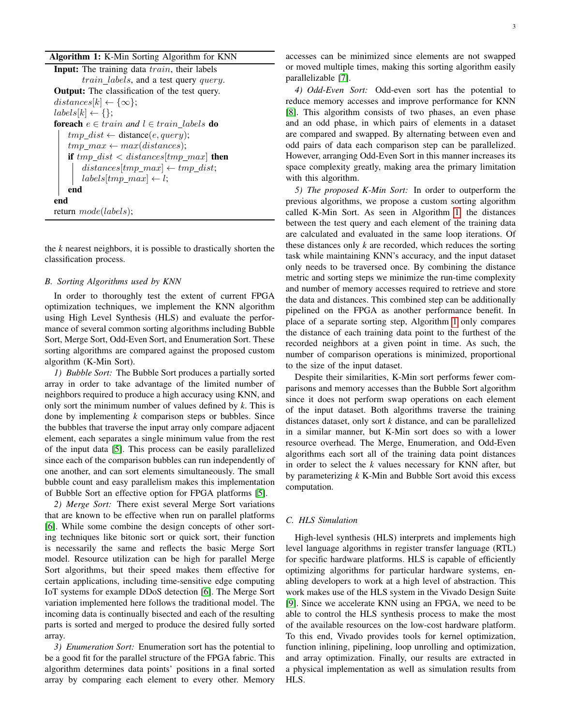<span id="page-2-0"></span>the *k* nearest neighbors, it is possible to drastically shorten the classification process.

## *B. Sorting Algorithms used by KNN*

In order to thoroughly test the extent of current FPGA optimization techniques, we implement the KNN algorithm using High Level Synthesis (HLS) and evaluate the performance of several common sorting algorithms including Bubble Sort, Merge Sort, Odd-Even Sort, and Enumeration Sort. These sorting algorithms are compared against the proposed custom algorithm (K-Min Sort).

*1) Bubble Sort:* The Bubble Sort produces a partially sorted array in order to take advantage of the limited number of neighbors required to produce a high accuracy using KNN, and only sort the minimum number of values defined by *k*. This is done by implementing *k* comparison steps or bubbles. Since the bubbles that traverse the input array only compare adjacent element, each separates a single minimum value from the rest of the input data [\[5\]](#page-5-5). This process can be easily parallelized since each of the comparison bubbles can run independently of one another, and can sort elements simultaneously. The small bubble count and easy parallelism makes this implementation of Bubble Sort an effective option for FPGA platforms [\[5\]](#page-5-5).

*2) Merge Sort:* There exist several Merge Sort variations that are known to be effective when run on parallel platforms [\[6\]](#page-5-6). While some combine the design concepts of other sorting techniques like bitonic sort or quick sort, their function is necessarily the same and reflects the basic Merge Sort model. Resource utilization can be high for parallel Merge Sort algorithms, but their speed makes them effective for certain applications, including time-sensitive edge computing IoT systems for example DDoS detection [\[6\]](#page-5-6). The Merge Sort variation implemented here follows the traditional model. The incoming data is continually bisected and each of the resulting parts is sorted and merged to produce the desired fully sorted array.

*3) Enumeration Sort:* Enumeration sort has the potential to be a good fit for the parallel structure of the FPGA fabric. This algorithm determines data points' positions in a final sorted array by comparing each element to every other. Memory accesses can be minimized since elements are not swapped or moved multiple times, making this sorting algorithm easily parallelizable [\[7\]](#page-5-7).

*4) Odd-Even Sort:* Odd-even sort has the potential to reduce memory accesses and improve performance for KNN [\[8\]](#page-5-8). This algorithm consists of two phases, an even phase and an odd phase, in which pairs of elements in a dataset are compared and swapped. By alternating between even and odd pairs of data each comparison step can be parallelized. However, arranging Odd-Even Sort in this manner increases its space complexity greatly, making area the primary limitation with this algorithm.

*5) The proposed K-Min Sort:* In order to outperform the previous algorithms, we propose a custom sorting algorithm called K-Min Sort. As seen in Algorithm [1,](#page-2-0) the distances between the test query and each element of the training data are calculated and evaluated in the same loop iterations. Of these distances only *k* are recorded, which reduces the sorting task while maintaining KNN's accuracy, and the input dataset only needs to be traversed once. By combining the distance metric and sorting steps we minimize the run-time complexity and number of memory accesses required to retrieve and store the data and distances. This combined step can be additionally pipelined on the FPGA as another performance benefit. In place of a separate sorting step, Algorithm [1](#page-2-0) only compares the distance of each training data point to the furthest of the recorded neighbors at a given point in time. As such, the number of comparison operations is minimized, proportional to the size of the input dataset.

Despite their similarities, K-Min sort performs fewer comparisons and memory accesses than the Bubble Sort algorithm since it does not perform swap operations on each element of the input dataset. Both algorithms traverse the training distances dataset, only sort *k* distance, and can be parallelized in a similar manner, but K-Min sort does so with a lower resource overhead. The Merge, Enumeration, and Odd-Even algorithms each sort all of the training data point distances in order to select the *k* values necessary for KNN after, but by parameterizing *k* K-Min and Bubble Sort avoid this excess computation.

## *C. HLS Simulation*

High-level synthesis (HLS) interprets and implements high level language algorithms in register transfer language (RTL) for specific hardware platforms. HLS is capable of efficiently optimizing algorithms for particular hardware systems, enabling developers to work at a high level of abstraction. This work makes use of the HLS system in the Vivado Design Suite [\[9\]](#page-5-9). Since we accelerate KNN using an FPGA, we need to be able to control the HLS synthesis process to make the most of the available resources on the low-cost hardware platform. To this end, Vivado provides tools for kernel optimization, function inlining, pipelining, loop unrolling and optimization, and array optimization. Finally, our results are extracted in a physical implementation as well as simulation results from HLS.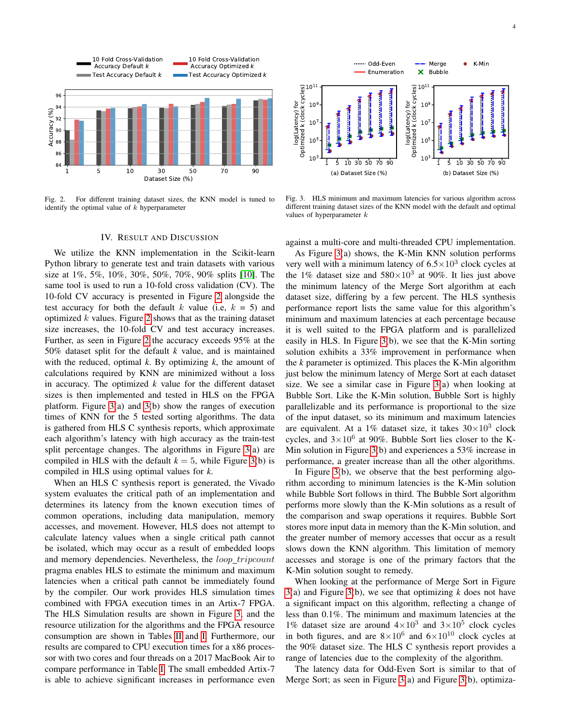

<span id="page-3-1"></span>Fig. 2. For different training dataset sizes, the KNN model is tuned to identify the optimal value of  $k$  hyperparameter

#### Odd-Even Merge K-Min  $\bullet$ Enumeration  $\pmb{\times}$ Bubble  $10^{11}$ 11 Optimized k (clock cycles) log(Latency) for<br>Optimized k (clock cycles) Optimized k (clock cycles) 10 ׀<br>׀ ┪ ׀֖֧֩֩֩֟֓֓֩֬֓֓׀֩֕<br>֧׀ ׀<br>׀׀ log(Latency) for log(Latency) for  $10^9$  $10^9$ I l 10 7 10 7 10 10 5 5 10 3 10 3 1 5 10 30 50 70 90 1 5 10 30 50 70 90 (b) Dataset Size (%) (a) Dataset Size (%)

<span id="page-3-2"></span>Fig. 3. HLS minimum and maximum latencies for various algorithm across different training dataset sizes of the KNN model with the default and optimal values of hyperparameter  $k$ 

#### IV. RESULT AND DISCUSSION

<span id="page-3-0"></span>We utilize the KNN implementation in the Scikit-learn Python library to generate test and train datasets with various size at 1%, 5%, 10%, 30%, 50%, 70%, 90% splits [\[10\]](#page-5-10). The same tool is used to run a 10-fold cross validation (CV). The 10-fold CV accuracy is presented in Figure [2](#page-3-1) alongside the test accuracy for both the default k value (i.e,  $k = 5$ ) and optimized  $k$  values. Figure [2](#page-3-1) shows that as the training dataset size increases, the 10-fold CV and test accuracy increases. Further, as seen in Figure [2](#page-3-1) the accuracy exceeds 95% at the 50% dataset split for the default *k* value, and is maintained with the reduced, optimal *k*. By optimizing *k*, the amount of calculations required by KNN are minimized without a loss in accuracy. The optimized *k* value for the different dataset sizes is then implemented and tested in HLS on the FPGA platform. Figure [3\(](#page-3-2)a) and [3\(](#page-3-2)b) show the ranges of execution times of KNN for the 5 tested sorting algorithms. The data is gathered from HLS C synthesis reports, which approximate each algorithm's latency with high accuracy as the train-test split percentage changes. The algorithms in Figure [3\(](#page-3-2)a) are compiled in HLS with the default  $k = 5$ , while Figure [3\(](#page-3-2)b) is compiled in HLS using optimal values for *k*.

When an HLS C synthesis report is generated, the Vivado system evaluates the critical path of an implementation and determines its latency from the known execution times of common operations, including data manipulation, memory accesses, and movement. However, HLS does not attempt to calculate latency values when a single critical path cannot be isolated, which may occur as a result of embedded loops and memory dependencies. Nevertheless, the *loop\_tripcount* pragma enables HLS to estimate the minimum and maximum latencies when a critical path cannot be immediately found by the compiler. Our work provides HLS simulation times combined with FPGA execution times in an Artix-7 FPGA. The HLS Simulation results are shown in Figure [3,](#page-3-2) and the resource utilization for the algorithms and the FPGA resource consumption are shown in Tables [II](#page-4-1) and [I.](#page-4-2) Furthermore, our results are compared to CPU execution times for a x86 processor with two cores and four threads on a 2017 MacBook Air to compare performance in Table [I.](#page-4-2) The small embedded Artix-7 is able to achieve significant increases in performance even against a multi-core and multi-threaded CPU implementation.

As Figure [3\(](#page-3-2)a) shows, the K-Min KNN solution performs very well with a minimum latency of  $6.5 \times 10^3$  clock cycles at the 1% dataset size and  $580 \times 10^3$  at 90%. It lies just above the minimum latency of the Merge Sort algorithm at each dataset size, differing by a few percent. The HLS synthesis performance report lists the same value for this algorithm's minimum and maximum latencies at each percentage because it is well suited to the FPGA platform and is parallelized easily in HLS. In Figure [3\(](#page-3-2)b), we see that the K-Min sorting solution exhibits a 33% improvement in performance when the *k* parameter is optimized. This places the K-Min algorithm just below the minimum latency of Merge Sort at each dataset size. We see a similar case in Figure [3\(](#page-3-2)a) when looking at Bubble Sort. Like the K-Min solution, Bubble Sort is highly parallelizable and its performance is proportional to the size of the input dataset, so its minimum and maximum latencies are equivalent. At a 1% dataset size, it takes  $30 \times 10^3$  clock cycles, and  $3\times10^6$  at 90%. Bubble Sort lies closer to the K-Min solution in Figure [3\(](#page-3-2)b) and experiences a 53% increase in performance, a greater increase than all the other algorithms.

In Figure [3\(](#page-3-2)b), we observe that the best performing algorithm according to minimum latencies is the K-Min solution while Bubble Sort follows in third. The Bubble Sort algorithm performs more slowly than the K-Min solutions as a result of the comparison and swap operations it requires. Bubble Sort stores more input data in memory than the K-Min solution, and the greater number of memory accesses that occur as a result slows down the KNN algorithm. This limitation of memory accesses and storage is one of the primary factors that the K-Min solution sought to remedy.

When looking at the performance of Merge Sort in Figure [3\(](#page-3-2)a) and Figure [3\(](#page-3-2)b), we see that optimizing *k* does not have a significant impact on this algorithm, reflecting a change of less than 0.1%. The minimum and maximum latencies at the 1% dataset size are around  $4 \times 10^3$  and  $3 \times 10^5$  clock cycles in both figures, and are  $8 \times 10^6$  and  $6 \times 10^{10}$  clock cycles at the 90% dataset size. The HLS C synthesis report provides a range of latencies due to the complexity of the algorithm.

The latency data for Odd-Even Sort is similar to that of Merge Sort; as seen in Figure [3\(](#page-3-2)a) and Figure [3\(](#page-3-2)b), optimiza-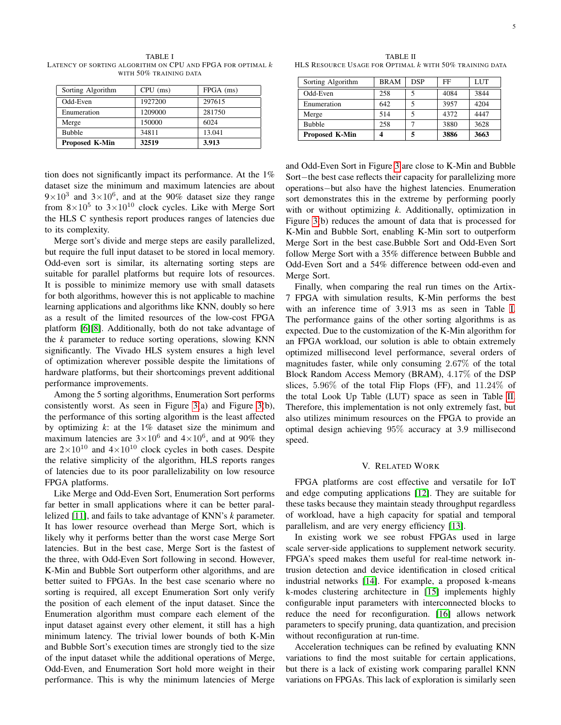<span id="page-4-2"></span>TABLE I LATENCY OF SORTING ALGORITHM ON CPU AND FPGA FOR OPTIMAL  $k$ WITH 50% TRAINING DATA

| Sorting Algorithm     | $CPU$ (ms) | $FPGA$ (ms) |
|-----------------------|------------|-------------|
| Odd-Even              | 1927200    | 297615      |
| Enumeration           | 1209000    | 281750      |
| Merge                 | 150000     | 6024        |
| <b>Bubble</b>         | 34811      | 13.041      |
| <b>Proposed K-Min</b> | 32519      | 3.913       |

tion does not significantly impact its performance. At the 1% dataset size the minimum and maximum latencies are about  $9 \times 10^3$  and  $3 \times 10^6$ , and at the 90% dataset size they range from  $8\times10^5$  to  $3\times10^{10}$  clock cycles. Like with Merge Sort the HLS C synthesis report produces ranges of latencies due to its complexity.

Merge sort's divide and merge steps are easily parallelized, but require the full input dataset to be stored in local memory. Odd-even sort is similar, its alternating sorting steps are suitable for parallel platforms but require lots of resources. It is possible to minimize memory use with small datasets for both algorithms, however this is not applicable to machine learning applications and algorithms like KNN, doubly so here as a result of the limited resources of the low-cost FPGA platform [\[6\]](#page-5-6)[\[8\]](#page-5-8). Additionally, both do not take advantage of the *k* parameter to reduce sorting operations, slowing KNN significantly. The Vivado HLS system ensures a high level of optimization wherever possible despite the limitations of hardware platforms, but their shortcomings prevent additional performance improvements.

Among the 5 sorting algorithms, Enumeration Sort performs consistently worst. As seen in Figure [3\(](#page-3-2)a) and Figure [3\(](#page-3-2)b), the performance of this sorting algorithm is the least affected by optimizing  $k$ : at the  $1\%$  dataset size the minimum and maximum latencies are  $3 \times 10^6$  and  $4 \times 10^6$ , and at 90% they are  $2\times10^{10}$  and  $4\times10^{10}$  clock cycles in both cases. Despite the relative simplicity of the algorithm, HLS reports ranges of latencies due to its poor parallelizability on low resource FPGA platforms.

Like Merge and Odd-Even Sort, Enumeration Sort performs far better in small applications where it can be better parallelized [\[11\]](#page-5-11), and fails to take advantage of KNN's *k* parameter. It has lower resource overhead than Merge Sort, which is likely why it performs better than the worst case Merge Sort latencies. But in the best case, Merge Sort is the fastest of the three, with Odd-Even Sort following in second. However, K-Min and Bubble Sort outperform other algorithms, and are better suited to FPGAs. In the best case scenario where no sorting is required, all except Enumeration Sort only verify the position of each element of the input dataset. Since the Enumeration algorithm must compare each element of the input dataset against every other element, it still has a high minimum latency. The trivial lower bounds of both K-Min and Bubble Sort's execution times are strongly tied to the size of the input dataset while the additional operations of Merge, Odd-Even, and Enumeration Sort hold more weight in their performance. This is why the minimum latencies of Merge

<span id="page-4-1"></span>TABLE II HLS RESOURCE USAGE FOR OPTIMAL  $k$  with 50% training data

| Sorting Algorithm     | <b>BRAM</b> | <b>DSP</b> | FF   | LUT  |
|-----------------------|-------------|------------|------|------|
| Odd-Even              | 258         |            | 4084 | 3844 |
| Enumeration           | 642         |            | 3957 | 4204 |
| Merge                 | 514         |            | 4372 | 4447 |
| <b>Bubble</b>         | 258         |            | 3880 | 3628 |
| <b>Proposed K-Min</b> |             | 5          | 3886 | 3663 |

and Odd-Even Sort in Figure [3](#page-3-2) are close to K-Min and Bubble Sort−the best case reflects their capacity for parallelizing more operations−but also have the highest latencies. Enumeration sort demonstrates this in the extreme by performing poorly with or without optimizing *k*. Additionally, optimization in Figure [3\(](#page-3-2)b) reduces the amount of data that is processed for K-Min and Bubble Sort, enabling K-Min sort to outperform Merge Sort in the best case.Bubble Sort and Odd-Even Sort follow Merge Sort with a 35% difference between Bubble and Odd-Even Sort and a 54% difference between odd-even and Merge Sort.

Finally, when comparing the real run times on the Artix-7 FPGA with simulation results, K-Min performs the best with an inference time of 3.913 ms as seen in Table [I.](#page-4-2) The performance gains of the other sorting algorithms is as expected. Due to the customization of the K-Min algorithm for an FPGA workload, our solution is able to obtain extremely optimized millisecond level performance, several orders of magnitudes faster, while only consuming 2.67% of the total Block Random Access Memory (BRAM), 4.17% of the DSP slices,  $5.96\%$  of the total Flip Flops (FF), and  $11.24\%$  of the total Look Up Table (LUT) space as seen in Table [II.](#page-4-1) Therefore, this implementation is not only extremely fast, but also utilizes minimum resources on the FPGA to provide an optimal design achieving 95% accuracy at 3.9 millisecond speed.

#### V. RELATED WORK

<span id="page-4-0"></span>FPGA platforms are cost effective and versatile for IoT and edge computing applications [\[12\]](#page-5-12). They are suitable for these tasks because they maintain steady throughput regardless of workload, have a high capacity for spatial and temporal parallelism, and are very energy efficiency [\[13\]](#page-5-13).

In existing work we see robust FPGAs used in large scale server-side applications to supplement network security. FPGA's speed makes them useful for real-time network intrusion detection and device identification in closed critical industrial networks [\[14\]](#page-5-14). For example, a proposed k-means k-modes clustering architecture in [\[15\]](#page-5-15) implements highly configurable input parameters with interconnected blocks to reduce the need for reconfiguration. [\[16\]](#page-5-16) allows network parameters to specify pruning, data quantization, and precision without reconfiguration at run-time.

Acceleration techniques can be refined by evaluating KNN variations to find the most suitable for certain applications, but there is a lack of existing work comparing parallel KNN variations on FPGAs. This lack of exploration is similarly seen